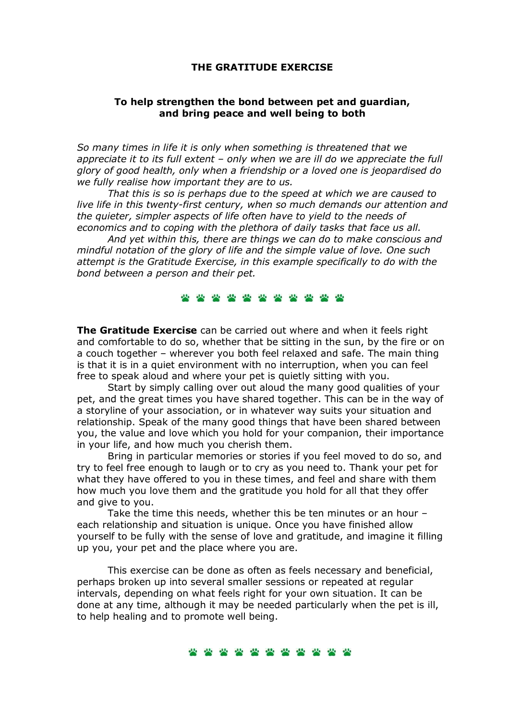### THE GRATITUDE EXERCISE

# To help strengthen the bond between pet and guardian, and bring peace and well being to both

So many times in life it is only when something is threatened that we appreciate it to its full extent – only when we are ill do we appreciate the full glory of good health, only when a friendship or a loved one is jeopardised do we fully realise how important they are to us.

 That this is so is perhaps due to the speed at which we are caused to live life in this twenty-first century, when so much demands our attention and the quieter, simpler aspects of life often have to yield to the needs of economics and to coping with the plethora of daily tasks that face us all.

 And yet within this, there are things we can do to make conscious and mindful notation of the glory of life and the simple value of love. One such attempt is the Gratitude Exercise, in this example specifically to do with the bond between a person and their pet.

\*\*\*\*\*\*\*\*\*\*

The Gratitude Exercise can be carried out where and when it feels right and comfortable to do so, whether that be sitting in the sun, by the fire or on a couch together – wherever you both feel relaxed and safe. The main thing is that it is in a quiet environment with no interruption, when you can feel free to speak aloud and where your pet is quietly sitting with you.

 Start by simply calling over out aloud the many good qualities of your pet, and the great times you have shared together. This can be in the way of a storyline of your association, or in whatever way suits your situation and relationship. Speak of the many good things that have been shared between you, the value and love which you hold for your companion, their importance in your life, and how much you cherish them.

 Bring in particular memories or stories if you feel moved to do so, and try to feel free enough to laugh or to cry as you need to. Thank your pet for what they have offered to you in these times, and feel and share with them how much you love them and the gratitude you hold for all that they offer and give to you.

 Take the time this needs, whether this be ten minutes or an hour – each relationship and situation is unique. Once you have finished allow yourself to be fully with the sense of love and gratitude, and imagine it filling up you, your pet and the place where you are.

 This exercise can be done as often as feels necessary and beneficial, perhaps broken up into several smaller sessions or repeated at regular intervals, depending on what feels right for your own situation. It can be done at any time, although it may be needed particularly when the pet is ill, to help healing and to promote well being.